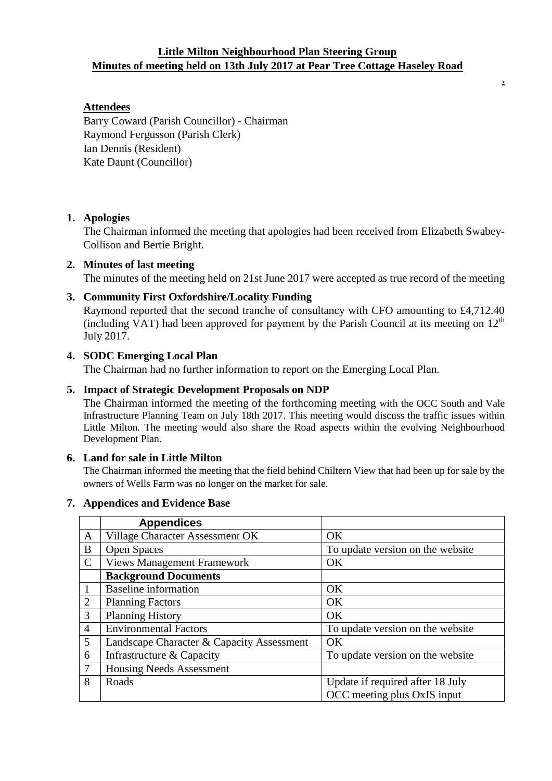# **Little Milton Neighbourhood Plan Steering Group Minutes of meeting held on 13th July 2017 at Pear Tree Cottage Haseley Road**

**.**

### **Attendees**

Barry Coward (Parish Councillor) - Chairman Raymond Fergusson (Parish Clerk) Ian Dennis (Resident) Kate Daunt (Councillor)

### **1. Apologies**

The Chairman informed the meeting that apologies had been received from Elizabeth Swabey-Collison and Bertie Bright.

#### **2. Minutes of last meeting**

The minutes of the meeting held on 21st June 2017 were accepted as true record of the meeting

### **3. Community First Oxfordshire/Locality Funding**

Raymond reported that the second tranche of consultancy with CFO amounting to £4,712.40 (including VAT) had been approved for payment by the Parish Council at its meeting on  $12<sup>th</sup>$ July 2017.

## **4. SODC Emerging Local Plan**

The Chairman had no further information to report on the Emerging Local Plan.

#### **5. Impact of Strategic Development Proposals on NDP**

The Chairman informed the meeting of the forthcoming meeting with the OCC South and Vale Infrastructure Planning Team on July 18th 2017. This meeting would discuss the traffic issues within Little Milton. The meeting would also share the Road aspects within the evolving Neighbourhood Development Plan.

#### **6. Land for sale in Little Milton**

The Chairman informed the meeting that the field behind Chiltern View that had been up for sale by the owners of Wells Farm was no longer on the market for sale.

### **7. Appendices and Evidence Base**

|                | <b>Appendices</b>                         |                                  |
|----------------|-------------------------------------------|----------------------------------|
| $\mathbf{A}$   | Village Character Assessment OK           | <b>OK</b>                        |
| $\mathbf{B}$   | <b>Open Spaces</b>                        | To update version on the website |
| $\mathcal{C}$  | <b>Views Management Framework</b>         | <b>OK</b>                        |
|                | <b>Background Documents</b>               |                                  |
| $\mathbf{1}$   | <b>Baseline</b> information               | <b>OK</b>                        |
| 2              | <b>Planning Factors</b>                   | <b>OK</b>                        |
| 3              | <b>Planning History</b>                   | OK                               |
| $\overline{4}$ | <b>Environmental Factors</b>              | To update version on the website |
| 5              | Landscape Character & Capacity Assessment | <b>OK</b>                        |
| 6              | Infrastructure & Capacity                 | To update version on the website |
| $\overline{7}$ | <b>Housing Needs Assessment</b>           |                                  |
| 8              | Roads                                     | Update if required after 18 July |
|                |                                           | OCC meeting plus OxIS input      |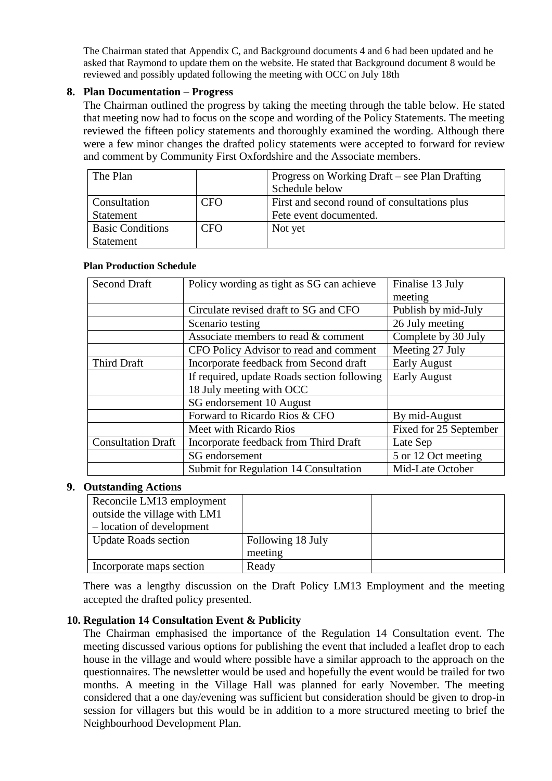The Chairman stated that Appendix C, and Background documents 4 and 6 had been updated and he asked that Raymond to update them on the website. He stated that Background document 8 would be reviewed and possibly updated following the meeting with OCC on July 18th

## **8. Plan Documentation – Progress**

The Chairman outlined the progress by taking the meeting through the table below. He stated that meeting now had to focus on the scope and wording of the Policy Statements. The meeting reviewed the fifteen policy statements and thoroughly examined the wording. Although there were a few minor changes the drafted policy statements were accepted to forward for review and comment by Community First Oxfordshire and the Associate members.

| The Plan                |            | Progress on Working Draft – see Plan Drafting |
|-------------------------|------------|-----------------------------------------------|
|                         |            | Schedule below                                |
| Consultation            | <b>CFO</b> | First and second round of consultations plus  |
| Statement               |            | Fete event documented.                        |
| <b>Basic Conditions</b> | <b>CFO</b> | Not yet                                       |
| Statement               |            |                                               |

### **Plan Production Schedule**

| <b>Second Draft</b>       | Policy wording as tight as SG can achieve   | Finalise 13 July       |
|---------------------------|---------------------------------------------|------------------------|
|                           |                                             | meeting                |
|                           | Circulate revised draft to SG and CFO       | Publish by mid-July    |
|                           | Scenario testing                            | 26 July meeting        |
|                           | Associate members to read & comment         | Complete by 30 July    |
|                           | CFO Policy Advisor to read and comment      | Meeting 27 July        |
| Third Draft               | Incorporate feedback from Second draft      | <b>Early August</b>    |
|                           | If required, update Roads section following | <b>Early August</b>    |
|                           | 18 July meeting with OCC                    |                        |
|                           | SG endorsement 10 August                    |                        |
|                           | Forward to Ricardo Rios & CFO               | By mid-August          |
|                           | Meet with Ricardo Rios                      | Fixed for 25 September |
| <b>Consultation Draft</b> | Incorporate feedback from Third Draft       | Late Sep               |
|                           | SG endorsement                              | 5 or 12 Oct meeting    |
|                           | Submit for Regulation 14 Consultation       | Mid-Late October       |

## **9. Outstanding Actions**

| Reconcile LM13 employment    |                   |  |
|------------------------------|-------------------|--|
| outside the village with LM1 |                   |  |
| - location of development    |                   |  |
| <b>Update Roads section</b>  | Following 18 July |  |
|                              | meeting           |  |
| Incorporate maps section     | Ready             |  |

There was a lengthy discussion on the Draft Policy LM13 Employment and the meeting accepted the drafted policy presented.

### **10. Regulation 14 Consultation Event & Publicity**

The Chairman emphasised the importance of the Regulation 14 Consultation event. The meeting discussed various options for publishing the event that included a leaflet drop to each house in the village and would where possible have a similar approach to the approach on the questionnaires. The newsletter would be used and hopefully the event would be trailed for two months. A meeting in the Village Hall was planned for early November. The meeting considered that a one day/evening was sufficient but consideration should be given to drop-in session for villagers but this would be in addition to a more structured meeting to brief the Neighbourhood Development Plan.